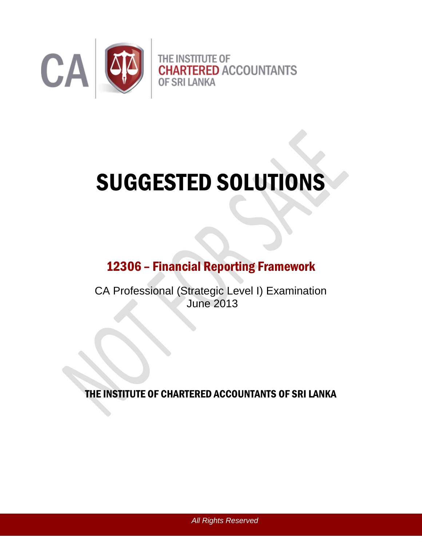

# SUGGESTED SOLUTIONS

## 12306 – Financial Reporting Framework

CA Professional (Strategic Level I) Examination June 2013

THE INSTITUTE OF CHARTERED ACCOUNTANTS OF SRI LANKA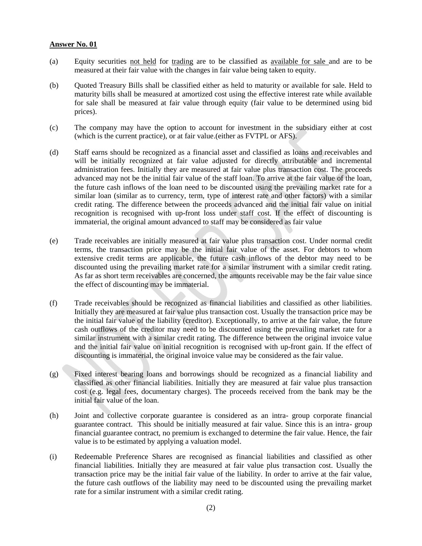- (a) Equity securities not held for trading are to be classified as available for sale and are to be measured at their fair value with the changes in fair value being taken to equity.
- (b) Quoted Treasury Bills shall be classified either as held to maturity or available for sale. Held to maturity bills shall be measured at amortized cost using the effective interest rate while available for sale shall be measured at fair value through equity (fair value to be determined using bid prices).
- (c) The company may have the option to account for investment in the subsidiary either at cost (which is the current practice), or at fair value.(either as FVTPL or AFS).
- (d) Staff earns should be recognized as a financial asset and classified as loans and receivables and will be initially recognized at fair value adjusted for directly attributable and incremental administration fees. Initially they are measured at fair value plus transaction cost. The proceeds advanced may not be the initial fair value of the staff loan. To arrive at the fair value of the loan, the future cash inflows of the loan need to be discounted using the prevailing market rate for a similar loan (similar as to currency, term, type of interest rate and other factors) with a similar credit rating. The difference between the proceeds advanced and the initial fair value on initial recognition is recognised with up-front loss under staff cost. If the effect of discounting is immaterial, the original amount advanced to staff may be considered as fair value
- (e) Trade receivables are initially measured at fair value plus transaction cost. Under normal credit terms, the transaction price may be the initial fair value of the asset. For debtors to whom extensive credit terms are applicable, the future cash inflows of the debtor may need to be discounted using the prevailing market rate for a similar instrument with a similar credit rating. As far as short term receivables are concerned, the amounts receivable may be the fair value since the effect of discounting may be immaterial.
- (f) Trade receivables should be recognized as financial liabilities and classified as other liabilities. Initially they are measured at fair value plus transaction cost. Usually the transaction price may be the initial fair value of the liability (creditor). Exceptionally, to arrive at the fair value, the future cash outflows of the creditor may need to be discounted using the prevailing market rate for a similar instrument with a similar credit rating. The difference between the original invoice value and the initial fair value on initial recognition is recognised with up-front gain. If the effect of discounting is immaterial, the original invoice value may be considered as the fair value.
- (g) Fixed interest bearing loans and borrowings should be recognized as a financial liability and classified as other financial liabilities. Initially they are measured at fair value plus transaction cost (e.g. legal fees, documentary charges). The proceeds received from the bank may be the initial fair value of the loan.
- (h) Joint and collective corporate guarantee is considered as an intra- group corporate financial guarantee contract. This should be initially measured at fair value. Since this is an intra- group financial guarantee contract, no premium is exchanged to determine the fair value. Hence, the fair value is to be estimated by applying a valuation model.
- (i) Redeemable Preference Shares are recognised as financial liabilities and classified as other financial liabilities. Initially they are measured at fair value plus transaction cost. Usually the transaction price may be the initial fair value of the liability. In order to arrive at the fair value, the future cash outflows of the liability may need to be discounted using the prevailing market rate for a similar instrument with a similar credit rating.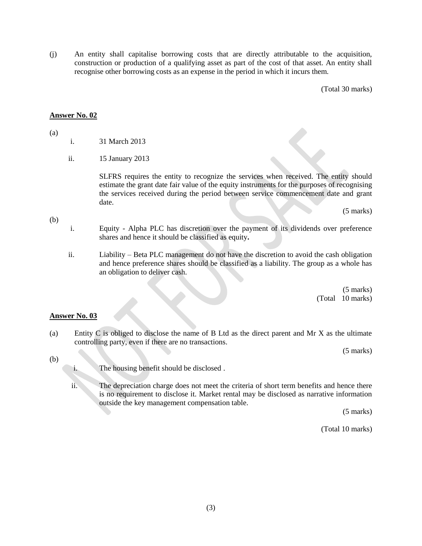(j) An entity shall capitalise borrowing costs that are directly attributable to the acquisition, construction or production of a qualifying asset as part of the cost of that asset. An entity shall recognise other borrowing costs as an expense in the period in which it incurs them.

(Total 30 marks)

#### **Answer No. 02**

(a)

- i. 31 March 2013
- ii. 15 January 2013

SLFRS requires the entity to recognize the services when received. The entity should estimate the grant date fair value of the equity instruments for the purposes of recognising the services received during the period between service commencement date and grant date.

(5 marks)

- (b)
- i. Equity Alpha PLC has discretion over the payment of its dividends over preference shares and hence it should be classified as equity**.**
- ii. Liability Beta PLC management do not have the discretion to avoid the cash obligation and hence preference shares should be classified as a liability. The group as a whole has an obligation to deliver cash.

(5 marks) (Total 10 marks)

#### **Answer No. 03**

(a) Entity C is obliged to disclose the name of B Ltd as the direct parent and Mr X as the ultimate controlling party, even if there are no transactions.

(5 marks)

- (b)
- i. The housing benefit should be disclosed .
- ii. The depreciation charge does not meet the criteria of short term benefits and hence there is no requirement to disclose it. Market rental may be disclosed as narrative information outside the key management compensation table.

(5 marks)

(Total 10 marks)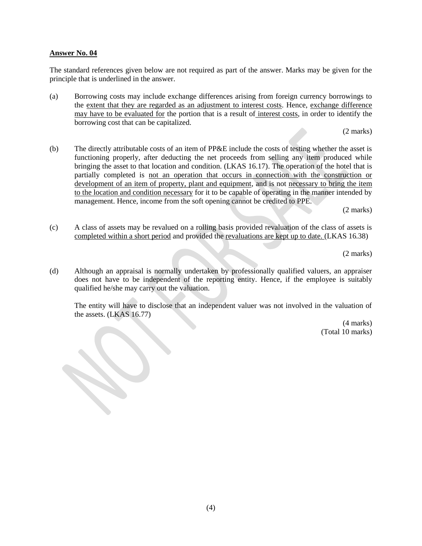The standard references given below are not required as part of the answer. Marks may be given for the principle that is underlined in the answer.

(a) Borrowing costs may include exchange differences arising from foreign currency borrowings to the extent that they are regarded as an adjustment to interest costs. Hence, exchange difference may have to be evaluated for the portion that is a result of interest costs, in order to identify the borrowing cost that can be capitalized.

(2 marks)

(b) The directly attributable costs of an item of PP&E include the costs of testing whether the asset is functioning properly, after deducting the net proceeds from selling any item produced while bringing the asset to that location and condition. (LKAS 16.17). The operation of the hotel that is partially completed is not an operation that occurs in connection with the construction or development of an item of property, plant and equipment, and is not necessary to bring the item to the location and condition necessary for it to be capable of operating in the manner intended by management. Hence, income from the soft opening cannot be credited to PPE.

(2 marks)

(c) A class of assets may be revalued on a rolling basis provided revaluation of the class of assets is completed within a short period and provided the revaluations are kept up to date. (LKAS 16.38)

(2 marks)

(d) Although an appraisal is normally undertaken by professionally qualified valuers, an appraiser does not have to be independent of the reporting entity. Hence, if the employee is suitably qualified he/she may carry out the valuation.

The entity will have to disclose that an independent valuer was not involved in the valuation of the assets. (LKAS 16.77)

> (4 marks) (Total 10 marks)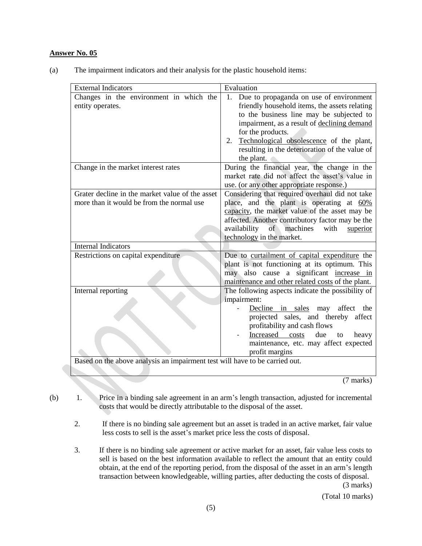(a) The impairment indicators and their analysis for the plastic household items:

| <b>External Indicators</b>                                                  | Evaluation                                               |  |
|-----------------------------------------------------------------------------|----------------------------------------------------------|--|
| Changes in the environment in which the                                     | Due to propaganda on use of environment<br>1.            |  |
| entity operates.                                                            | friendly household items, the assets relating            |  |
|                                                                             | to the business line may be subjected to                 |  |
|                                                                             | impairment, as a result of declining demand              |  |
|                                                                             | for the products.                                        |  |
|                                                                             | Technological obsolescence of the plant,<br>2.           |  |
|                                                                             | resulting in the deterioration of the value of           |  |
|                                                                             | the plant.                                               |  |
| Change in the market interest rates                                         | During the financial year, the change in the             |  |
|                                                                             | market rate did not affect the asset's value in          |  |
|                                                                             | use. (or any other appropriate response.)                |  |
| Grater decline in the market value of the asset                             | Considering that required overhaul did not take          |  |
| more than it would be from the normal use                                   | place, and the plant is operating at 60%                 |  |
|                                                                             | capacity, the market value of the asset may be           |  |
|                                                                             | affected. Another contributory factor may be the         |  |
|                                                                             | availability<br>$\sigma$<br>machines<br>with<br>superior |  |
|                                                                             | technology in the market.                                |  |
| <b>Internal Indicators</b>                                                  |                                                          |  |
| Restrictions on capital expenditure                                         | Due to curtailment of capital expenditure the            |  |
|                                                                             | plant is not functioning at its optimum. This            |  |
|                                                                             | may also cause a significant increase in                 |  |
|                                                                             | maintenance and other related costs of the plant.        |  |
| Internal reporting                                                          | The following aspects indicate the possibility of        |  |
|                                                                             | impairment:                                              |  |
|                                                                             | Decline in sales may<br>affect<br>the                    |  |
|                                                                             | projected sales, and thereby affect                      |  |
|                                                                             | profitability and cash flows                             |  |
|                                                                             | Increased costs<br>due<br>heavy<br>to                    |  |
|                                                                             | maintenance, etc. may affect expected                    |  |
|                                                                             | profit margins                                           |  |
| Based on the above analysis an impairment test will have to be carried out. |                                                          |  |
|                                                                             |                                                          |  |

(7 marks)

- (b) 1. Price in a binding sale agreement in an arm's length transaction, adjusted for incremental costs that would be directly attributable to the disposal of the asset.
	- 2. If there is no binding sale agreement but an asset is traded in an active market, fair value less costs to sell is the asset's market price less the costs of disposal.
	- 3. If there is no binding sale agreement or active market for an asset, fair value less costs to sell is based on the best information available to reflect the amount that an entity could obtain, at the end of the reporting period, from the disposal of the asset in an arm's length transaction between knowledgeable, willing parties, after deducting the costs of disposal.

(3 marks)

(Total 10 marks)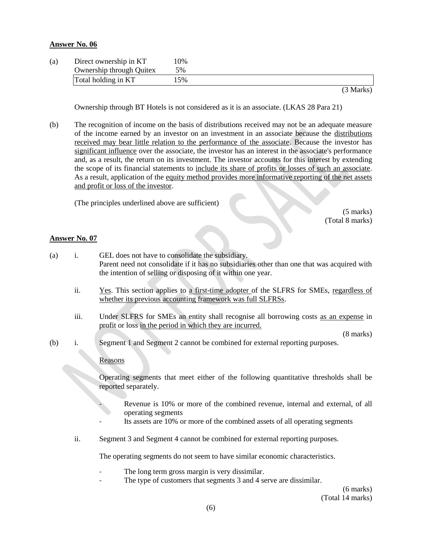| (a) | Direct ownership in KT   | 10% |           |
|-----|--------------------------|-----|-----------|
|     | Ownership through Quitex | 5%  |           |
|     | Total holding in KT      | 5%  |           |
|     |                          |     | (3 Marks) |

Ownership through BT Hotels is not considered as it is an associate. (LKAS 28 Para 21)

(b) The recognition of income on the basis of distributions received may not be an adequate measure of the income earned by an investor on an investment in an associate because the distributions received may bear little relation to the performance of the associate. Because the investor has significant influence over the associate, the investor has an interest in the associate's performance and, as a result, the return on its investment. The investor accounts for this interest by extending the scope of its financial statements to include its share of profits or losses of such an associate. As a result, application of the equity method provides more informative reporting of the net assets and profit or loss of the investor.

(The principles underlined above are sufficient)

(5 marks) (Total 8 marks)

#### **Answer No. 07**

- (a) i. GEL does not have to consolidate the subsidiary. Parent need not consolidate if it has no subsidiaries other than one that was acquired with the intention of selling or disposing of it within one year.
	- ii. Yes. This section applies to a first-time adopter of the SLFRS for SMEs, regardless of whether its previous accounting framework was full SLFRSs.
	- iii. Under SLFRS for SMEs an entity shall recognise all borrowing costs as an expense in profit or loss in the period in which they are incurred.

(8 marks)

(b) i. Segment 1 and Segment 2 cannot be combined for external reporting purposes.

Reasons

Operating segments that meet either of the following quantitative thresholds shall be reported separately.

- Revenue is 10% or more of the combined revenue, internal and external, of all operating segments
- Its assets are 10% or more of the combined assets of all operating segments
- ii. Segment 3 and Segment 4 cannot be combined for external reporting purposes.

The operating segments do not seem to have similar economic characteristics.

- The long term gross margin is very dissimilar.
- The type of customers that segments 3 and 4 serve are dissimilar.

(6 marks) (Total 14 marks)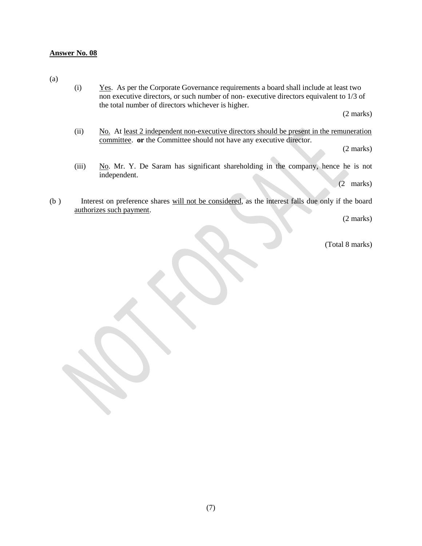(a)

(i) Yes. As per the Corporate Governance requirements a board shall include at least two non executive directors, or such number of non- executive directors equivalent to 1/3 of the total number of directors whichever is higher.

(2 marks)

(ii)  $N_0$ . At least 2 independent non-executive directors should be present in the remuneration committee. **or** the Committee should not have any executive director.

(2 marks)

(iii)  $N_0$ . Mr. Y. De Saram has significant shareholding in the company, hence he is not independent.

(2 marks)

(b ) Interest on preference shares will not be considered, as the interest falls due only if the board authorizes such payment.

(2 marks)

(Total 8 marks)